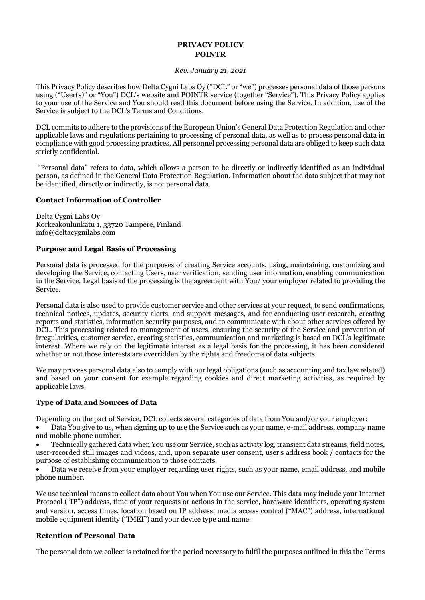# **PRIVACY POLICY POINTR**

#### *Rev. January 21, 2021*

This Privacy Policy describes how Delta Cygni Labs Oy ("DCL" or "we") processes personal data of those persons using ("User(s)" or "You") DCL's website and POINTR service (together "Service"). This Privacy Policy applies to your use of the Service and You should read this document before using the Service. In addition, use of the Service is subject to the DCL's Terms and Conditions.

DCL commits to adhere to the provisions of the European Union's General Data Protection Regulation and other applicable laws and regulations pertaining to processing of personal data, as well as to process personal data in compliance with good processing practices. All personnel processing personal data are obliged to keep such data strictly confidential.

"Personal data" refers to data, which allows a person to be directly or indirectly identified as an individual person, as defined in the General Data Protection Regulation. Information about the data subject that may not be identified, directly or indirectly, is not personal data.

### **Contact Information of Controller**

Delta Cygni Labs Oy Korkeakoulunkatu 1, 33720 Tampere, Finland info@deltacygnilabs.com

### **Purpose and Legal Basis of Processing**

Personal data is processed for the purposes of creating Service accounts, using, maintaining, customizing and developing the Service, contacting Users, user verification, sending user information, enabling communication in the Service. Legal basis of the processing is the agreement with You/ your employer related to providing the Service.

Personal data is also used to provide customer service and other services at your request, to send confirmations, technical notices, updates, security alerts, and support messages, and for conducting user research, creating reports and statistics, information security purposes, and to communicate with about other services offered by DCL. This processing related to management of users, ensuring the security of the Service and prevention of irregularities, customer service, creating statistics, communication and marketing is based on DCL's legitimate interest. Where we rely on the legitimate interest as a legal basis for the processing, it has been considered whether or not those interests are overridden by the rights and freedoms of data subjects.

We may process personal data also to comply with our legal obligations (such as accounting and tax law related) and based on your consent for example regarding cookies and direct marketing activities, as required by applicable laws.

# **Type of Data and Sources of Data**

Depending on the part of Service, DCL collects several categories of data from You and/or your employer:

• Data You give to us, when signing up to use the Service such as your name, e-mail address, company name and mobile phone number.

• Technically gathered data when You use our Service, such as activity log, transient data streams, field notes, user-recorded still images and videos, and, upon separate user consent, user's address book / contacts for the purpose of establishing communication to those contacts.

• Data we receive from your employer regarding user rights, such as your name, email address, and mobile phone number.

We use technical means to collect data about You when You use our Service. This data may include your Internet Protocol ("IP") address, time of your requests or actions in the service, hardware identifiers, operating system and version, access times, location based on IP address, media access control ("MAC") address, international mobile equipment identity ("IMEI") and your device type and name.

# **Retention of Personal Data**

The personal data we collect is retained for the period necessary to fulfil the purposes outlined in this the Terms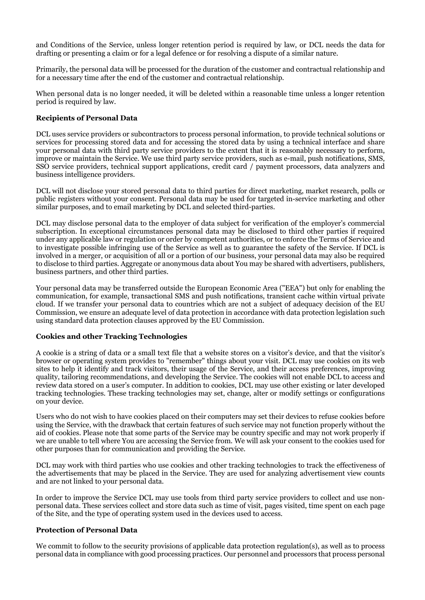and Conditions of the Service, unless longer retention period is required by law, or DCL needs the data for drafting or presenting a claim or for a legal defence or for resolving a dispute of a similar nature.

Primarily, the personal data will be processed for the duration of the customer and contractual relationship and for a necessary time after the end of the customer and contractual relationship.

When personal data is no longer needed, it will be deleted within a reasonable time unless a longer retention period is required by law.

# **Recipients of Personal Data**

DCL uses service providers or subcontractors to process personal information, to provide technical solutions or services for processing stored data and for accessing the stored data by using a technical interface and share your personal data with third party service providers to the extent that it is reasonably necessary to perform, improve or maintain the Service. We use third party service providers, such as e-mail, push notifications, SMS, SSO service providers, technical support applications, credit card / payment processors, data analyzers and business intelligence providers.

DCL will not disclose your stored personal data to third parties for direct marketing, market research, polls or public registers without your consent. Personal data may be used for targeted in-service marketing and other similar purposes, and to email marketing by DCL and selected third-parties.

DCL may disclose personal data to the employer of data subject for verification of the employer's commercial subscription. In exceptional circumstances personal data may be disclosed to third other parties if required under any applicable law or regulation or order by competent authorities, or to enforce the Terms of Service and to investigate possible infringing use of the Service as well as to guarantee the safety of the Service. If DCL is involved in a merger, or acquisition of all or a portion of our business, your personal data may also be required to disclose to third parties. Aggregate or anonymous data about You may be shared with advertisers, publishers, business partners, and other third parties.

Your personal data may be transferred outside the European Economic Area ("EEA") but only for enabling the communication, for example, transactional SMS and push notifications, transient cache within virtual private cloud. If we transfer your personal data to countries which are not a subject of adequacy decision of the EU Commission, we ensure an adequate level of data protection in accordance with data protection legislation such using standard data protection clauses approved by the EU Commission.

# **Cookies and other Tracking Technologies**

A cookie is a string of data or a small text file that a website stores on a visitor's device, and that the visitor's browser or operating system provides to "remember" things about your visit. DCL may use cookies on its web sites to help it identify and track visitors, their usage of the Service, and their access preferences, improving quality, tailoring recommendations, and developing the Service. The cookies will not enable DCL to access and review data stored on a user's computer. In addition to cookies, DCL may use other existing or later developed tracking technologies. These tracking technologies may set, change, alter or modify settings or configurations on your device.

Users who do not wish to have cookies placed on their computers may set their devices to refuse cookies before using the Service, with the drawback that certain features of such service may not function properly without the aid of cookies. Please note that some parts of the Service may be country specific and may not work properly if we are unable to tell where You are accessing the Service from. We will ask your consent to the cookies used for other purposes than for communication and providing the Service.

DCL may work with third parties who use cookies and other tracking technologies to track the effectiveness of the advertisements that may be placed in the Service. They are used for analyzing advertisement view counts and are not linked to your personal data.

In order to improve the Service DCL may use tools from third party service providers to collect and use nonpersonal data. These services collect and store data such as time of visit, pages visited, time spent on each page of the Site, and the type of operating system used in the devices used to access.

# **Protection of Personal Data**

We commit to follow to the security provisions of applicable data protection regulation(s), as well as to process personal data in compliance with good processing practices. Our personnel and processors that process personal